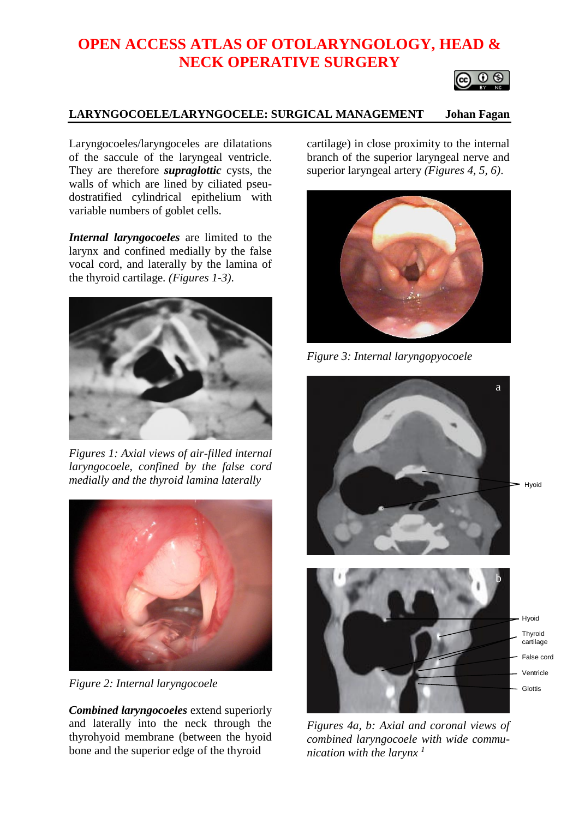# **OPEN ACCESS ATLAS OF OTOLARYNGOLOGY, HEAD & NECK OPERATIVE SURGERY**



# **LARYNGOCOELE/LARYNGOCELE: SURGICAL MANAGEMENT Johan Fagan**

Laryngocoeles/laryngoceles are dilatations of the saccule of the laryngeal ventricle. They are therefore *supraglottic* cysts, the walls of which are lined by ciliated pseudostratified cylindrical epithelium with variable numbers of goblet cells.

*Internal laryngocoeles* are limited to the larynx and confined medially by the false vocal cord, and laterally by the lamina of the thyroid cartilage. *(Figures 1-3)*.



*Figures 1: Axial views of air-filled internal laryngocoele, confined by the false cord medially and the thyroid lamina laterally*



*Figure 2: Internal laryngocoele*

*Combined laryngocoeles* extend superiorly and laterally into the neck through the thyrohyoid membrane (between the hyoid bone and the superior edge of the thyroid

cartilage) in close proximity to the internal branch of the superior laryngeal nerve and superior laryngeal artery *(Figures 4, 5, 6)*.



*Figure 3: Internal laryngopyocoele*



*Figures 4a, b: Axial and coronal views of combined laryngocoele with wide communication with the larynx <sup>1</sup>*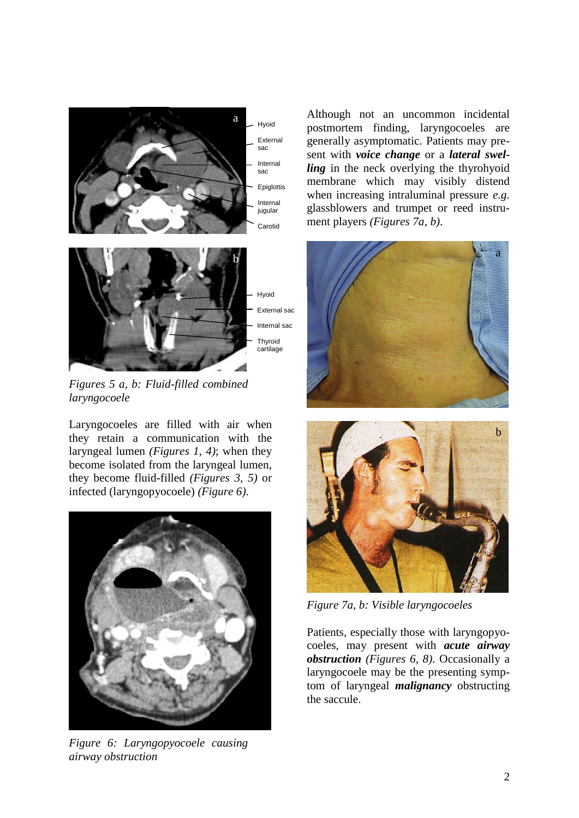

External sac Internal sac

*Figures 5 a, b: Fluid-filled combined laryngocoele*

Laryngocoeles are filled with air when they retain a communication with the laryngeal lumen *(Figures 1, 4)*; when they become isolated from the laryngeal lumen, they become fluid-filled *(Figures 3, 5)* or infected (laryngopyocoele) *(Figure 6)*.



*Figure 6: Laryngopyocoele causing airway obstruction*

Although not an uncommon incidental postmortem finding, laryngocoeles are generally asymptomatic. Patients may present with *voice change* or a *lateral swelling* in the neck overlying the thyrohyoid membrane which may visibly distend when increasing intraluminal pressure *e.g.* glassblowers and trumpet or reed instrument players *(Figures 7a, b)*.





*Figure 7a, b: Visible laryngocoeles*

Patients, especially those with laryngopyocoeles, may present with *acute airway obstruction (Figures 6, 8)*. Occasionally a laryngocoele may be the presenting symptom of laryngeal *malignancy* obstructing the saccule.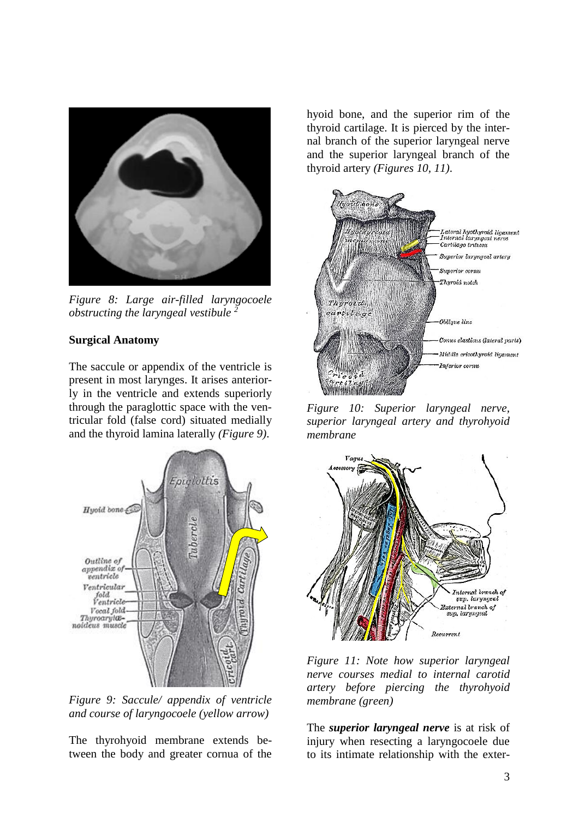

*Figure 8: Large air-filled laryngocoele obstructing the laryngeal vestibule <sup>2</sup>*

## **Surgical Anatomy**

The saccule or appendix of the ventricle is present in most larynges. It arises anteriorly in the ventricle and extends superiorly through the paraglottic space with the ventricular fold (false cord) situated medially and the thyroid lamina laterally *(Figure 9)*.



*Figure 9: Saccule/ appendix of ventricle and course of laryngocoele (yellow arrow)*

The thyrohyoid membrane extends between the body and greater cornua of the hyoid bone, and the superior rim of the thyroid cartilage. It is pierced by the internal branch of the superior laryngeal nerve and the superior laryngeal branch of the thyroid artery *(Figures 10, 11)*.



*Figure 10: Superior laryngeal nerve, superior laryngeal artery and thyrohyoid membrane*



*Figure 11: Note how superior laryngeal nerve courses medial to internal carotid artery before piercing the thyrohyoid membrane (green)*

The *superior laryngeal nerve* is at risk of injury when resecting a laryngocoele due to its intimate relationship with the exter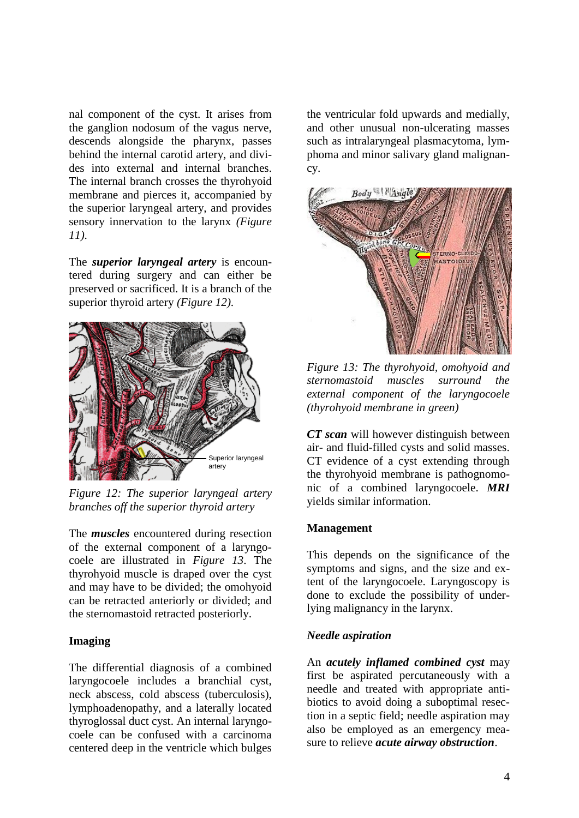nal component of the cyst. It arises from the ganglion nodosum of the vagus nerve, descends alongside the pharynx, passes behind the internal carotid artery, and divides into external and internal branches. The internal branch crosses the thyrohyoid membrane and pierces it, accompanied by the superior laryngeal artery, and provides sensory innervation to the larynx *(Figure 11)*.

The *superior laryngeal artery* is encountered during surgery and can either be preserved or sacrificed. It is a branch of the superior thyroid artery *(Figure 12)*.



*Figure 12: The superior laryngeal artery branches off the superior thyroid artery*

The *muscles* encountered during resection of the external component of a laryngocoele are illustrated in *Figure 13*. The thyrohyoid muscle is draped over the cyst and may have to be divided; the omohyoid can be retracted anteriorly or divided; and the sternomastoid retracted posteriorly.

### **Imaging**

The differential diagnosis of a combined laryngocoele includes a branchial cyst, neck abscess, cold abscess (tuberculosis), lymphoadenopathy, and a laterally located thyroglossal duct cyst. An internal laryngocoele can be confused with a carcinoma centered deep in the ventricle which bulges

the ventricular fold upwards and medially, and other unusual non-ulcerating masses such as intralaryngeal plasmacytoma, lymphoma and minor salivary gland malignancy.



*Figure 13: The thyrohyoid, omohyoid and sternomastoid muscles surround the external component of the laryngocoele (thyrohyoid membrane in green)*

*CT scan* will however distinguish between air- and fluid-filled cysts and solid masses. CT evidence of a cyst extending through the thyrohyoid membrane is pathognomonic of a combined laryngocoele. *MRI*  yields similar information.

#### **Management**

This depends on the significance of the symptoms and signs, and the size and extent of the laryngocoele. Laryngoscopy is done to exclude the possibility of underlying malignancy in the larynx.

#### *Needle aspiration*

An *acutely inflamed combined cyst* may first be aspirated percutaneously with a needle and treated with appropriate antibiotics to avoid doing a suboptimal resection in a septic field; needle aspiration may also be employed as an emergency measure to relieve *acute airway obstruction*.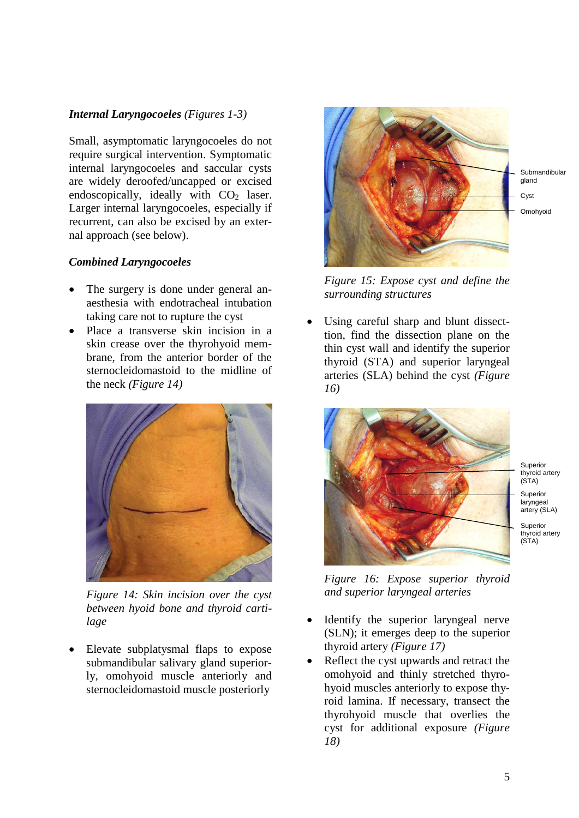# *Internal Laryngocoeles (Figures 1-3)*

Small, asymptomatic laryngocoeles do not require surgical intervention. Symptomatic internal laryngocoeles and saccular cysts are widely deroofed/uncapped or excised endoscopically, ideally with  $CO<sub>2</sub>$  laser. Larger internal laryngocoeles, especially if recurrent, can also be excised by an external approach (see below).

# *Combined Laryngocoeles*

- The surgery is done under general anaesthesia with endotracheal intubation taking care not to rupture the cyst
- Place a transverse skin incision in a skin crease over the thyrohyoid membrane, from the anterior border of the sternocleidomastoid to the midline of the neck *(Figure 14)*



*Figure 14: Skin incision over the cyst between hyoid bone and thyroid cartilage*

• Elevate subplatysmal flaps to expose submandibular salivary gland superiorly, omohyoid muscle anteriorly and sternocleidomastoid muscle posteriorly



*Figure 15: Expose cyst and define the surrounding structures*

Using careful sharp and blunt dissecttion, find the dissection plane on the thin cyst wall and identify the superior thyroid (STA) and superior laryngeal arteries (SLA) behind the cyst *(Figure 16)*



Superior thyroid artery (STA) Superior laryngeal artery (SLA)

Superior thyroid artery (STA)

*Figure 16: Expose superior thyroid and superior laryngeal arteries*

- Identify the superior laryngeal nerve (SLN); it emerges deep to the superior thyroid artery *(Figure 17)*
- Reflect the cyst upwards and retract the omohyoid and thinly stretched thyrohyoid muscles anteriorly to expose thyroid lamina. If necessary, transect the thyrohyoid muscle that overlies the cyst for additional exposure *(Figure 18)*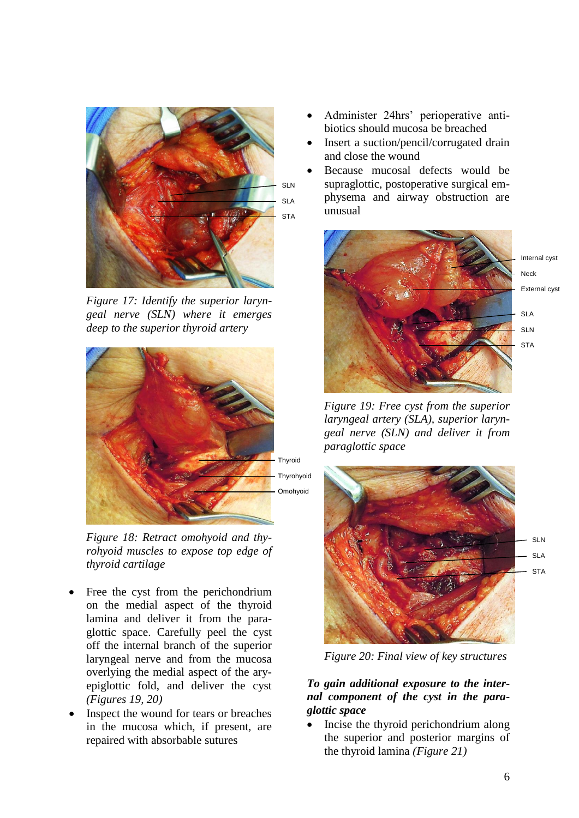

*Figure 17: Identify the superior laryngeal nerve (SLN) where it emerges deep to the superior thyroid artery*



*Figure 18: Retract omohyoid and thyrohyoid muscles to expose top edge of thyroid cartilage*

- Free the cyst from the perichondrium on the medial aspect of the thyroid lamina and deliver it from the paraglottic space. Carefully peel the cyst off the internal branch of the superior laryngeal nerve and from the mucosa overlying the medial aspect of the aryepiglottic fold, and deliver the cyst *(Figures 19, 20)*
- Inspect the wound for tears or breaches in the mucosa which, if present, are repaired with absorbable sutures
- Administer 24hrs' perioperative antibiotics should mucosa be breached
- Insert a suction/pencil/corrugated drain and close the wound
- Because mucosal defects would be supraglottic, postoperative surgical emphysema and airway obstruction are unusual



*Figure 19: Free cyst from the superior laryngeal artery (SLA), superior laryngeal nerve (SLN) and deliver it from paraglottic space*



*Figure 20: Final view of key structures*

## *To gain additional exposure to the internal component of the cyst in the paraglottic space*

• Incise the thyroid perichondrium along the superior and posterior margins of the thyroid lamina *(Figure 21)*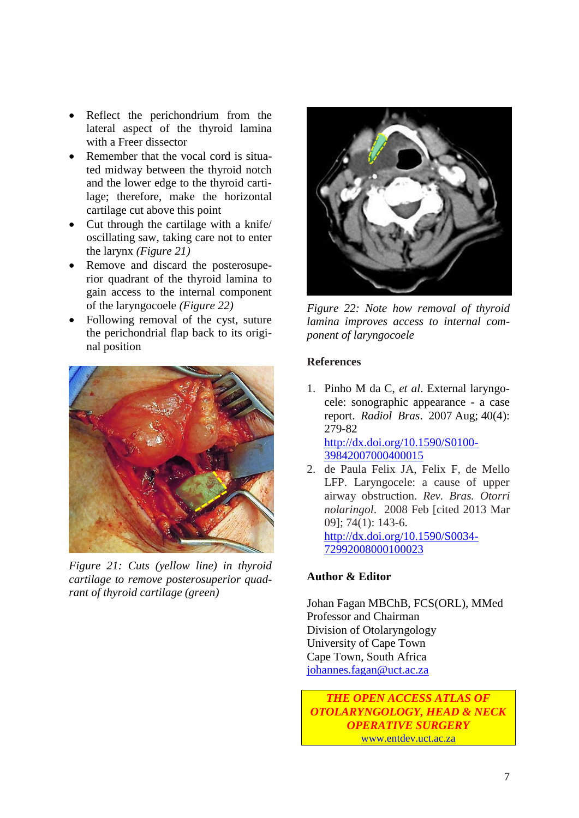- Reflect the perichondrium from the lateral aspect of the thyroid lamina with a Freer dissector
- Remember that the vocal cord is situated midway between the thyroid notch and the lower edge to the thyroid cartilage; therefore, make the horizontal cartilage cut above this point
- Cut through the cartilage with a knife/ oscillating saw, taking care not to enter the larynx *(Figure 21)*
- Remove and discard the posterosuperior quadrant of the thyroid lamina to gain access to the internal component of the laryngocoele *(Figure 22)*
- Following removal of the cyst, suture the perichondrial flap back to its original position



*Figure 21: Cuts (yellow line) in thyroid cartilage to remove posterosuperior quadrant of thyroid cartilage (green)*



*Figure 22: Note how removal of thyroid lamina improves access to internal component of laryngocoele*

### **References**

- 1. Pinho M da C, *et al*. External laryngocele: sonographic appearance - a case report. *Radiol Bras*. 2007 Aug; 40(4): 279-82 [http://dx.doi.org/10.1590/S0100-](http://dx.doi.org/10.1590/S0100-39842007000400015) [39842007000400015](http://dx.doi.org/10.1590/S0100-39842007000400015)
- 2. de Paula Felix JA, Felix F, de Mello LFP. Laryngocele: a cause of upper airway obstruction. *Rev. Bras. Otorri nolaringol*. 2008 Feb [cited 2013 Mar 09]; 74(1): 143-6. [http://dx.doi.org/10.1590/S0034-](http://dx.doi.org/10.1590/S0034-72992008000100023) [72992008000100023](http://dx.doi.org/10.1590/S0034-72992008000100023)

### **Author & Editor**

Johan Fagan MBChB, FCS(ORL), MMed Professor and Chairman Division of Otolaryngology University of Cape Town Cape Town, South Africa [johannes.fagan@uct.ac.za](mailto:johannes.fagan@uct.ac.za)

*THE OPEN ACCESS ATLAS OF OTOLARYNGOLOGY, HEAD & NECK OPERATIVE SURGERY* [www.entdev.uct.ac.za](http://www.entdev.uct.ac.za/)